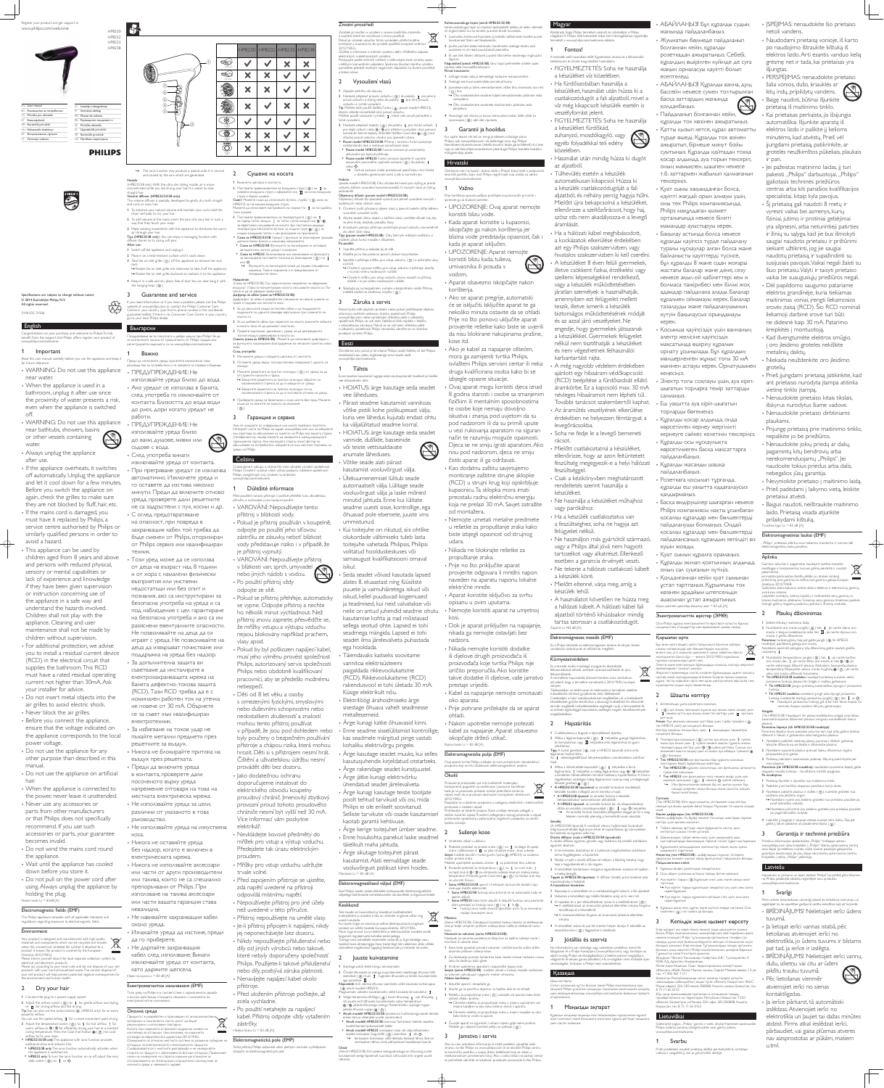English

Congratulations on your purchase, and welcome to Philips! To fully EVALUATION CONSUMING THE PUBLIC WAS ARRESTED TO A HUMPHA TO THE PUBLIC STANDARY OF THE STANDARY OF THE STANDARY OF THE STANDARY OF THE STANDARY OF THE STANDARY OF THE STANDARY OF THE STANDARY OF THE STANDARY OF THE STANDAR www.philips.com/welcome. Поздравяваме ви за покупката и добре дошли при Philips! За да се възползвате изцяло от предлаганата от Philips поддръжка, Derистрирайте излелието си на www.philips.com/welcome.

All rights reserved. 3140 035 31506

Specifications are subject to change without notice

Read this user manual carefully before you use the appliance and keep it for future reference. WARNING: Do not use this appliance Преди да използвате уреда, прочетете внимателно това ководство за потребителя и го запазете за справка в бъдеще • ПРЕДУПРЕЖДЕНИЕ: Не

• When the appliance is used in a bathroom, unplug it after use since the proximity of water presents a risk, even when the appliance is switched off.

near water.

• If the mains cord is damaged, you must have it replaced by Philips, a service centre authorised by Philips or similarly qualified persons in order to avoid a hazard.

WARNING: Do not use this appliance near bathtubs, showers, basins or other vessels containing

water. Always unplug the appliance after use.

• This appliance can be used by children aged from 8 years and above and persons with reduced physical, sensory or mental capabilities or lack of experience and knowledge if they have been given supervision or instruction concerning use of the appliance in a safe way and understand the hazards involved. Children shall not play with the appliance. Cleaning and user maintenance shall not be made by children without supervision. • For additional protection, we advise you to install a residual current device (RCD) in the electrical circuit that supplies the bathroom. This RCD must have a rated residual operating current not higher than 30mA. Ask your installer for advice. Do not insert metal objects into the

- air grilles to avoid electric shock. • Never block the air grilles.
- Before you connect the appliance, ensure that the voltage indicated on the appliance corresponds to the local power voltage.
- Do not use the appliance for any other purpose than described in this manual.
- Do not use the appliance on artificial hair.
- When the appliance is connected to the power, never leave it unattended. • Never use any accessories or
- parts from other manufacturers or that Philips does not specifically recommend. If you use such
- accessories or parts, your guarantee becomes invalid. Do not wind the mains cord round
- the appliance. • Wait until the appliance has cooled
- down before you store it. • Do not pull on the power cord after using. Always unplug the appliance by
- holding the plug. Noise Level: Lc = 83dB [A]

• След употреба винаги изключвайте уреда от контакта.

• При прегряване уредът се изключва автоматично. Изключете уреда и го оставете да изстива няколко минути. Преди да включите отново уреда, проверете дали решетките не са задръстени с пух, косми и др. • С оглед предотвратяване на опасност, при повреда в захранващия кабел той трябва да бъде сменен от Philips, оторизиран от Philips сервиз или квалифициран техник.

• Този уред може да се използва от деца на възраст над 8 години и от хора с намалени физически ВЪЗПРИЯТИЯ ИЛИ УМСТВЕНИ недостатъци или без опит и познания, ако са инструктирани за безопасна употреба на уреда и са под наблюдение с цел гарантиране на безопасна употреба и ако са им разяснени евентуалните опасности. Не позволявайте на деца да си играят с уреда. Не позволявайте на Деца да извършват почистване или поддръжка на уреда без надзор. • За допълнителна защита ви СЪВЕТВАМЕ ДА ИНСТАЛИРАТЕ В електрозахранващата мрежа на банята дефектно-токова защита (RCD). Тази RCD трябва да е с номинален работен ток на утечка не повече от 30 mA. Обърнете се за съвет към квалифициран електротехник. • За избягване на токов удар не пъхайте метални предмети през решетките за въздух. • Никога не блокирайте притока на въздух през решетката. • Преди да включите уреда в контакта, проверете дали посоченото върху уреда напрежение отговаря на това на местната електрическа мрежа. • Не използвайте уреда за цели, различни от указаното в това ръководство. • Не използвайте уреда на изкуствена

KOCa. • Никога не оставяйте уреда без надзор, когато е включен в електрическата мрежа. • Никога не използвайте аксесоари или части от други производители или такива, които не са специално препоръчвани от Philips. При използване на такива аксесоари или части вашата гаранция става

Čeština Gratulujeme k nákupu a vítáme Vás mezi uživateli výrobků společnost Philips! Chcete-li využívat všech výhod podpory nabízené společností Philips, zaregistrujte svůj výrobek na stránkách

This Philips appliance complies with all applicable standards and regulations regarding exposure to electromagnetic fields.

Your product is designed and manufactured with high quality materials and components, which can be recycled and reused.  $\overline{\mathcal{A}}$ when this crossed-out wheeled bin symbol is attached to a product it means the product is covered by the European **Contract** Directive 2012/19/FU Please inform yourself about the local separate collection system for electrical and electronic products. Please act according to your local rules and do not dispose of your old products with your normal household waste. The correct disposal of your old product will help prevent potential negative consequences for the environment and human health.

» The ionic function may produce a special odor. It is normal and caused by the ions which are generated

Volume diffuser (HP8232/33/38 only): The volume diffuser is specially developed to gently dry both straight and curly or wavy hair. 1 To enhance your natural volume and maintain your curls, hold the dryer vertically to dry your hair.

2 To add volume at the roots, insert the pins into your hair in such a way that they touch your scalp 3 Make rotating movements with the appliance to distribute the warm

air through your hair:<br>**Tips (HP8233/38 only)** :You can enjoy a massaging function with diffuser thanks to its caring soft pins. After use:

1 Switch off the appliance and unplug it. 2 Place it on a heat-resistant surface until it cools down. **3** Take the air inlet grille  $( \Omega )$  off the appliance to remove hair and

dust. » Rotate the air inlet grille anti-clockwise to take if off the appliance. → Rotate the air inlet grille clockwise to reattach it to the appliance.

#### Environment

website at www.prinipsites.if or contact the willips castomer care<br>Centre in your country (you find its phone number in the worldwide guarantee leaflet). If there is no Consumer Care Centre in your country, go to your local Philips dealer.

1 Важно

работи.

съдове с вода.

#### **Български**

#### 2 Dry your hair

1 Connect the plug to a power supply socket.

2 Adjust the airflow switch  $(4)$  to I for gentle airflow and styling, or  $\Pi$  for strong airflow and fast drying.

Tip: You can also use the turbo button( $\ddot{\text{o}}$ , HP8233 only) for an extra powerful airflow.

You can use the speed setting  $I$  for a more convenient quiet drying. **3** Adjust the temperature switch ( $\circledS$ ) to  $\circledR$  for hot airflow,  $\circledR$  for

- warm airflow, or  $\mathfrak{D}/\mathfrak{D}$  for efficiently drying your hair at a constant<br>caring temperature. Press the Cool shot button ※ ( ⑦ ) for cool irflow to fix your style • HP8232/33/38 only: The appliance with ionic function provides
- additional shine and reduces frizz.
- HP8232/38 only: The ionic function automatically activates when he appliance is switched on. • HP8233 only: To turn the ionic function on or off, adjust the ionic
- slide switch  $( 0 )$  to  $1$  or  $0.$

невалидна. • Не навивайте захранващия кабел около уреда.

# • Изчакайте уреда да изстине, преди

да го приберете. • Не дърпайте захранващия кабел след използване. Винаги изключвайте уреда от контакта, като държите щепсела. Ниво на шума: Lc = 83 dB  $[A]$ 

#### Електромагнитни изльчвания (ЕМF)

ǟǻǴǵȀǽDzDZǺǭ3KLOLSVDzǯǾȇǻǿǯDzǿǾǿǯǵDzǾǺǻǽǹǭǿǵǯǺǭǿǭȀǽDzDZǮǭ и всички действащи стандарти, свързани с излагането на електромагнитни излъчвания

#### Околна среда

Продуктът е разработен и произведен от висококачествен материали и компоненти, които могат да бъдат ǽDzȃǵǷǸǵǽǭǺǵǵǵǴǼǻǸǴǯǭǺǵǼǻǯǿǻǽǺǻ Когато към изделието е прикачен задраскан символ на  $\sim 100$ контейнер за отпадъци, това означава, че изделието

,<br>тговаря на европейската директива 2012/19/EU. Осведомете се относно местната система за разделно събиране н падъци за електрическите и електронните продукти. Elektromagnetická pole (EMP)

Съобразявайте се с местните разпоредби и не изхвърляйте старите си продукти с обикновените битови отпадъци. Прав "<br>EX AHTOMON AIII ANAAARI OTOMOTO DZARANA BRAGUA RHANAA

# Tento přístroj Philips odpovídá všem platným normám a předpisům týkajícím se elektromagnetických polí.

отстраняването на потенциални отрицателни последствия за .<br>Околната среда и човешкото здраве.

které nebyly doporučeny společností Philips. Použijete-li takové příslušenství 2 **Juuste kuivatamine** 

#### Nozzle



#### concentrated while you are drying your hair. It is easier to style straight hair.

4 Keep it in a safe and dry place, free of dust. You can also hang it with

използвайте уреда близо до вода. • Ако уредът се използва в банята, след употреба го изключвайте от контакта. Близостта до вода води до риск, дори когато уредът не

• ПРЕДУПРЕЖДЕНИЕ: Не използвайте уреда близо ДО ВАНИ, ДУШОВЕ, МИВКИ ИЛИ

the hanging loop  $(Q)$ 

#### 3 Guarantee and service If you need information or if you have a problem, please visit the Philips ebsite at www.philips.com or contact the Philips Customer Care

vlasy apod. · Pokud by byl poškozen napájecí kabel musí jeho výměnu provést společnost Philips, autorizovaný servis společnosti Philips nebo obdobně kvalifikovaní pracovníci, aby se předešlo možnému nebezpečí.

• Děti od 8 let věku a osoby s omezenými fyzickými, smyslovými nebo duševními schopnostmi nebo nedostatkem zkušeností a znalostí mohou tento přístroj používat v případě, že jsou pod dohledem nebo byly poučeny o bezpečném používání přístroje a chápou rizika, která mohou hrozit. Děti si s přístrojem nesmí hrát. Čištění a uživatelskou údržbu nesmí provádět děti bez dozoru. • Jako dodatečnou ochranu doporučujeme instalovat do

elektrického obvodu koupelny proudový chránič. Jmenovitý zbytkový provozní proud tohoto proudového chrániče nesmí být vyšší než 30 mA. Více informací vám poskytne elektrikář.

• Nevkládejte kovové předměty do mřížek pro vstup a výstup vzduchu. Předejdete tak úrazu elektrickým proudem. • Mřížky pro vstup vzduchu udržujte trvale volné. • Před zapojením přístroje se ujistěte,

nebo díly, pozbývá záruka platnosti. • Nenavíjejte napájecí kabel okolo

· Před uložením přístroje počkejte, až

kabel. Přístroj odpojte vždy vytažením

• Po použití netahejte za napájecí

přístroje.

zástrčky. Hladina hluku: Lc = 83 dB [A] Elektrilöögi ärahoidmiseks ärge sisestage õhuava vahelt seadmesse metallesemeid. • Arge kunagi katke õhuavasid kinni.

Enne seadme sisselülitamist kontrollige, kas seadmele märgitud pinge vastab kohaliku elektrivõrgu pingele. • Arge kasutage seadet muuks, kui selles kasutusjuhendis kirjeldatud otstarbeks. Ärge rakendage seadet kunstjuustel. Ärge jätke kunagi elektrivõrku ühendatud seadet järelevalveta. • Arge kunagi kasutage teiste tootjate

zda napětí uvedené na přístroji odpovídá místnímu napětí. • Nepoužívejte přístroj pro jiné účely než uvedené v této příručce. • Přístroj nepoužívejte na umělé vlasy. · Je-li přístroj připojen k napájení, nikdy jej neponechávejte bez dozoru. • Nikdy nepoužívejte příslušenství nebo díly od jiných výrobců nebo takové, See Philipsi seade vastab kõikidele kokkupuudet elektromagnetiliste väljadega käsitlevatele kohaldatavatele standarditele ja õigusnormidele. Keskkond Teie toode on kavandatud ja toodetud kvaliteetsetest materjalidest ja osadest, mida on võimalik ringlusse võtta ning uuesti kasutada. Kui toote külge on kinnitatud selline läbikriipsutatud prügikasti sümbol, siis kehtib tootele Euroopa direktiiv 2012/19/EL. Palun viige ennast kurssi elektriliste ja elektrooniliste toodete eraldi kogumist reguleerivate kohalike eeskirjadega. mige oma kohalikele seadustele vastavalt ja ärge käidelge vanu tooteid koos olmeprügiga. Vana toote õige kõrvaldamine aitab vältida võimalikke negatiivseid tagajärgi keskkonnale ja inimeste tervisele.

> 2 Õrnaks õhuvooks ja soengu kujundamiseks seadistage õhuvoo lüliti asendisse  $( 4)$  kuni  $I$ , tugevaks õhuvooks ja kiireks kuivatamiseks aga asendisse  $\overline{\mathbf{u}}$ Nakon korištenja:

**Näpunäide**: eriti võimsa õhuvoo saamiseks võite kasutada turbonuppu<br>( ⑥, ainult mudelil HP8233).  $\widetilde{\mathcal{A}}$ ugavamaks vaikseks kuivatamiseks võite kasutada kiirusevalikut  $\;$  I . 3 Valige temperatuurilülitiga (  $\circledS$  ) kuum õhuvoog  $\chi$ , soe õhuvoog  $\chi$ või juuste eriti tõhusaks kuivatamiseks sobiv temperatuur  $\mathcal{D}/\mathcal{D}$ . Jaheda õhuvooga soengu fikseerimiseks vajutage nuppu aheda õhuvoo nuppu ※(⑦). Ainult mudelil HP8232/33/38: ioniseeriva funktsiooniga seade tekitab

#### Kohevusotsakuga hajuti (ainult HP8232/33/38): kohevusotsakuga hajuti on loodud spetsiaalselt selleks, et oleks võimalik

1 Loomuliku kohevuse lisamiseks ja lokkide säilitamiseks hoidke juuste Köszönjük, hogy Philips terméket vásárolt, és üdvözöljük a Philips WEEEN, ENTEGO THE POLITIED VALUES VALUES VALGOSTOS PRESISTE POLITIES VALUES VALUES VALGOSTOS. termékét a www.philins.com/welcome.oldalon

2 Juuste juurtest alates kohevaks muutmiseks asetage otsaku piid juustesse nii, et need puudutaksid peanahka. 3 Et soe õhk läheks ühtlaselt juustest läbi, tehke seadmega ringikujulisi 1 Fontos!

nautida selle massaažifunktsioor Pärast kasutamist

 $( )$  ära.

Garantii ja hooldus Kui vajate teavet või teil on mingi probleem, külastage palun Philipsi saiti www.philips.com või pöörduge oma riigi Philipsi klienditeeninduskeskusesse (telefoninumbri leiate garantiilehelt). Kui teie riigis ei ole klienditeeninduskeskust, pöörduge Philipsi toodete kohaliku

www.philips.com/welcome. Važno

spremite ga za buduće potrebe

Ako se aparat pregrije, automatski će se isključiti. Isključite aparat te ga nekoliko minuta ostavite da se ohladi. Prije no što ponovo uključite aparat provjerite rešetke kako biste se uvjerili da nisu blokirane nakupinama prašine,

www.philips.com/welcome.

# Důležité informace

Před použitím tohoto přístroje si pečlivě přečtěte tuto uživatelskou příručku a uschovejte ji pro budoucí použiti • VAROVÁNÍ: Nepoužívejte tento přístroj v blízkosti vody. · Pokud je přístroj používán v koupelně, odpojte po použití jeho síťovou zástrčku ze zásuvky, neboť blízkost vody představuje riziko i v případě, že

je přístroj vypnutý. • VAROVÁNÍ: Nepoužívejte přístroj v blízkosti van, sprch, umyvadel nebo jiných nádob s vodou. • Po použití přístroj vždy

odpojte ze sítě.

· Pokud se přístroj přehřeje, automaticky se vypne. Odpojte přístroj a nechte ho několik minut vychladnout. Než přístroj znovu zapnete, přesvědčte se, že mřížky vstupu a výstupu vzduchu nejsou blokovány například prachem,

· Ako je kabel za napajanje oštećen, mora ga zamijeniti tvrtka Philips,

Ovaj aparat mogu koristiti djeca iznad 8 godina starosti i osobe sa smanjenim fizičkim ili mentalnim sposobnostima

provjerite odgovara li mrežni napon naveden na aparatu naponu lokalne električne mreže. • Aparat koristite isključivo za svrhu opisanu u ovim uputama.

• Nemojte koristiti aparat na umjetnoj kosi. · Dok je aparat priključen na napajanje, nikada ga nemojte ostavljati bez

· Prije pohrane pričekajte da se aparat ohladi. • Nakon upotrebe nemojte potezati kabel za napajanje. Aparat obavezno

iskopčajte držeći utikač. Razina buke: Lc = 83 dB [A]

### Elektromagnetska polja (EMF)

Ovaj aparat tvrtke Philips sukladan je svim primjenjivim standardima i<br>propisima koji se tiču izloženosti elektromagnetskim poljima.

### Okoliš

 $\rightarrow$  | Funkcija jona može stvarati specifičan miris. To je normalno nastaje stvaranjem iona.

(Samo HP8233/38) Zahvaljujući izuzetno tankoj mlaznici za oblikovanje, zrak je bolje usmjeren prilikom sušenja kose. Lakše je oblikovati ravnu

kosu.<br>**Nastavak za volumen (samo HP8232/33/38)**:

Nastavak za volumen posebno je dizajniran za nježno sušenje ravne i kovrčave ili valovite kose.

1 . Kako biste povećali prirodni volumen i održali kovrče, sušilo držite okomito prilikom sušenja kose. 2 Za dodavanje punoće korijenima kose stavite vrhove nastavka u kosu

tako da dodiruju kožu glave. 3 Kružnim pokretima aparatom rasporedite topao zrak.

Savjeti (samo HP8233/38) : možete uživati u funkciji masaže nastavkom za volumen zahvaljujući njegovim mekim vrhovima.

1 Isključite aparat i iskopčajte ga. 2 Stavite ga na površinu otpornu na toplinu dok se ne ohladi 3 Rešetku za propuštanje zraka  $(0)$  odvojite od aparata kako biste

zcela vychladne.

Ako su vam potrebne informacije ili imate problem, posjetite webstranicu tvrtke Philips na www.philips.com ili se obratite Philips centru za korisničku podršku u svojoj državi (telefonski broj se nalazi u međunarodnom jamstvenom listu). Ako u vašoj državi ne postoji centar za potrošače, obratite se lokalnom prodavaču proizvoda tvrtke Philips

távolíthatia el a készülékről.

liigutusi.<br>**Näpunäited (ainult HP8233/38)**: tänu hajuti pehmetele otstele saate A készülék első használata előtt figyelmesen olvassa el a felhasználói kézikönyvet, és őrizze meg későbbi használatra FIGYELMEZTETÉS: Soha ne használja

| Magyar |

3 Juuksekarvade ja tolmu eemaldamiseks võtke õhu sissevoolu ava rest » Õhu sisselaskevõre seadme küljest eemaldamiseks pöörake seda a készüléket víz közelében. • Ha fürdőszobában használja a készüléket, használat után húzza ki a csatlakozódugót a fali aljzatból, mivel a

víz még kikapcsolt készülék esetén is veszélyforrást jelent. FIGYELMEZTETÉS: Soha ne használja

a készüléket fürdőkád. zuhanyzó, mosdókagyló, vagy

egyéb folyadékkal teli edény közelében.

• Használat után mindig húzza ki dugót az aljzatból.

 $\cdot$  Túlhevülés esetén a készülék automatikusan kikapcsol. Húzza ki a készülék csatlakozódugóját a fali aljzatból, és néhány percig hagyja hűlni. Mielőtt újra bekapcsolná a készüléket, ellenőrizze a szellőzőrácsot, hogy haj, szösz stb. nem akadályozza-e a levegő áramlását.

· Ha a hálózati kábel meghibásodott, a kockázatok elkerülése érdekében azt egy Philips szakszervizben, vagy hivatalos szakszervizben ki kell cserélni.  $\cdot$  A készüléket 8 éven felüli gyermekek, illetve csökkent fizikai, érzékelési vagy szellemi képességekkel rendelkező, vagy a készülék működtetésében járatlan személyek is használhatják, amennyiben ezt felügyelet mellett teszik, illetve ismerik a készülék biztonságos működtetésének módját és az azzal járó veszélyeket. Ne engedje, hogy gyermekek játsszanak a készülékkel. Gyermekek felügyelet nélkül nem tisztíthatják a készüléket és nem végezhetnek felhasználói

karbantartást rajta. · A még nagyobb védelem érdekében ajánlott egy hibaáram-védőkapcsoló (RCD) beépítése a fürdőszobát ellátó áramkörbe. Ez a kapcsoló max. 30 mA névleges hibaáramot nem lépheti túl. További tanácsot szakembertől kaphat. · Az áramütés veszélyének elkerülése érdekében ne helyezzen fémtárgyat a levegőrácsokba.

· Soha ne fedje le a levegő bemeneti rácsot.

• Mielőtt csatlakoztatná a készüléket, ellenőrizze, hogy az azon feltüntetett feszültség megegyezik-e a helyi hálózati feszültséggel · Csak a kézikönyvben meghatározott rendeltetés szerint használja a készüléket. • Ne használja a készüléket műhajhoz vagy parókához. • Ha a készülék csatlakoztatva van a feszültséghez, soha ne hagyja azt felügyelet nélkül. • Ne használjon más gyártótól származó, vagy a Philips által jóvá nem hagyott tartozékot vagy alkatrészt. Ellenkező esetben a garancia érvényét veszti. • Ne tekerje a hálózati csatlakozó kábelt a készülék köré. • Mielőtt eltenné, várja meg, amíg a készülék lehűl.

Zajszint: Lc=83 dB [A]

Környezetvédelem

elhasználhatók

negelőzésében

a prach.

egyaránt alkalmas. 1 A természetes dúsításhoz és a hullámok megőrzéséhez szárításkor

tartsa függőlegesen a hajszárítót. 2 Fésülje a haját a dúsító diffúzorral mélyen, a fejbőrig hatolva, hogy haja a hajgyökereknél is dús legyen

3 A készüléket körkörösen mozgatva egyenletesen oszlassa el hajában a meleg levegőt.<br>**Tippek (a HP8233/38 típushoz)** : A diffúzor kímélő, puha tüskéivel akár . . .<br>nasszírozhatja is fejbőre

A használatot kövétően 1 Kapcsolia ki a készüléket, és a csatlakozódugót húzza ki a fali alizatból. 2 Helyezze a készüléket egy hőálló felületre, amíg az ki nem hűl.

3 A hajszálak és a por eltávolításához nyissa ki a szellőzőrácsot  $($   $)$ . őrácsot az óramutató járásával elle

• Розеткаға қосылып тұрғанда, құралды еш уақытта қадағалаусыз қалдырмаңыз. , Басқа өндірушілер шығарған немесе Philips компаниясы нақты ұсынбаған косалқы құралдар мен бөлшектерді пайдаланушы болмаңыз. Ондай қосалқы құралдар мен бөлшектерді пайдалансаңыз, құралдың кепілдігі өз Күшін жояды. • Nevyniokite prietaiso į maitinimo laidą. · Prieš padėdami į laikymo vietą, leiskite • Baigus naudoti, neištraukite maitinimo Triukšmo lygis: Lc = 83 dB [A] Elektromagnetiniai laukai (EMF) "Philips" prietaisas atitinka visus taikomus standartus ir normas dėl elektromagnetinių laukų poveikic

#### 3 Záruka a servis

Pokud byste měli jakýkoliv problém nebo pokud potřebujete nějakou informaci, navštivte webovou stránku společnosti Philins www.philips.com nebo kontaktujte středisko péče o zákazníky společnosti Philips ve vaší zemi (telefonní číslo najdete v letáčku<br>s celosvětovou zárukou). Pokud se ve vaší zemi středisko péče o zákazníky společnosti Philips nenachází, obraťte se na místního prodeice výrobků Philips.

#### → A visszaszereléshez forgassa az óramutató járásával ellentétes irányba.

4 A készüléket száraz és portól mentes helyen tárolia. A készülék az akasztóhurokra (2) függesztve is tárolható.

### 3 *Jótállás* és szerviz

Ha információra van szüksége vagy valamilyen probléma merül fel, látogasson el a Philips honlapjára (www.philips.com), vagy forduljon az adott ország Philips vevőszolgálatához (a telefonszámot megtalálja a<br>világszerte érvényes garancialevélen). Ha országában nem működik ilyen vevőszolgálat, fordulion a Philips helyi szaküzletéhez

#### Казақша

#### Шаш кептіргіш

Сатып алғаныныз күтты болсын және Philips компаниясына кош келдіңіз! Philips ұсынатын қолдауды толығымен рахатыңызға қолдану үшін, өзіңіздің өніміңізді www.philips.com/welcome бойынша тіркеуге ОТЫРҒЫЗЫҢЫЗ.

#### Манызды акпарат

Кұралды қолданар алдында осы пайдаланушы нұсқаулығын мұқият т шығыңыз және болашақта анықтама құралы ретінде пайдалану

4 Куралды шаңы жок, курғак және кауіпсіз жерде сактаныз iлмегiнен ( 2)) iлiп қоюға да болады.

# З Кепілдік және қызмет көрсету

Егер ақпарат алу керек болса немесе сізде шешілмеген мәселе болса, Philips компаниясының www.philips.com веб-торабына кіріңіз остая,<br>немесе елініздегі Philips тұтынушылар орталығына телефон (ол нөмірді дүние жүзі бойынша берілетін кепілдік кітапшасынан алуға болады) шалыңыз, Егер еліңізде Тұтынушыларды қолдау орталығы осода, онда жергілікті Philips компаниясының дилеріне барыңыз.<br>і́олмаса, онда жергілікті Philips компаниясының дилеріне барыңыз. Тұрмыстық қажеттіліктерге арналған ,<br>Эндіруші: "Филипс Консьюмер Лайфстайл Б.В.", Туссендиепен 4. 9206 АД, Драхтен, Нидерланды. Ресей және Кедендік Одақ территориясына импорттаушы:<br>«Филипс» ЖШҚ, Ресей, Мәскеу қаласы, Сергей Макеев көшесі, 13-үй,

en. +7 495 961 1111 Қазақстан Республикасында сатып алынған тауарға қатысть шағымдарды қабылдайтын заңды тұлға: «Филипс Казахстан» ЖШС ǙǭǺǭǾǷʥȅDzǾȒǍǷDzʚǾDzǍǸǹǭǿȈʘǭǸǭǾȈʗǭǴǭʘǾǿǭǺǿDzǸ 8 75 11 65 0123

Юр, лицо принимающее претензии в отношении товара. приобретенного на территории Республики Казахстан: ТОО «Филипс Казахстан» ул.Манаса, 32А офис 503, 050008 Алматы,<br>Казахстан, тел. 8 75 11 65 0123

# Lietuviškai

#### Eesti

iednodušší

Õnnitleme ostu puhul ja tervitame Philipsi poolt! Selleks, et teil Philipsi tootetoest kasu oleks, registreerige oma toode saidil www.philips.com/welcome.

#### **Tähtis**

4 Čuvajte aparat na sigurnom i suhom mjestu gdje nema prašine. Možete ga i objesiti koristeći petlju za vješanje (2). ʜȅȒǺǾǭʘǿǭǼʘǻǶȈʚȈǴ

Enne seadme kasutamist lugege seda kasutusjuhendit hoolikalt ja hoidke see edaspidiseks alles. HOIATUS: ärge kasutage seda seadet

vee läheduses. Pärast seadme kasutamist vannitoas võtke pistik kohe pistikupesast välja,

kuna vee lähedus kujutab endast ohtu ka väljalülitatud seadme korral.

> HOIATUS: ärge kasutage seda seadet vannide, duššide, basseinide või teiste vettsisaldavate

anumate läheduses. Võtke seade alati pärast

kasutamist vooluvõrgust välja.

ummistunud. • Kui toitejuhe on rikutud, siis ohtlike olukordade vältimiseks tuleb lasta toitejuhe vahetada Philipsis, Philipsi volitatud hoolduskeskuses või samasugust kvalifikatsiooni omaval isikul.

 Seda seadet võivad kasutada lapsed alates 8. eluaastast ning füüsiliste puuete ja vaimuhäiretega isikud või isikud, kellel puuduvad kogemused ja teadmised, kui neid valvatakse või neile on antud juhendid seadme ohutu kasutamise kohta ja nad mõistavad sellega seotud ohte. Lapsed ei tohi seadmega mängida. Lapsed ei tohi seadet ilma järelevalveta puhastada ega hooldada. Täiendavaks kaitseks soovitame

vannitoa elektrisüsteemi paigaldada rikkevoolukaitsme (RCD). Rikkevoolukaitsme (RCD) rakendusvool ei tohi ületada 30 mA. Küsige elektrikult nõu.

> 3 ǟDzǹǼDzǽǭǿȀǽǭʘǻǾʘȈȅȈǺ ȈǾǿȈʘǭȀǭǭʖȈǺȈʜȅȒǺ ǷʜǶȒǺDz жылы ауа ағыны үшін ( күйіне немесе шашты тұрақты жайль температурада кептіру үшін 2/2 күйіне реттеңіз. Салқын ауа ағымымен шашты сәндеу үшін «Салқын ауа жіберу» түймесін «  $($   $($   $)$   $)$  басыныз

• Тек HP8232/33/38: ион функциясы бар құрылғы қосымша лтырлық беріп, бұйралануды азайтадь • Тек HP8232/38: құрылғы қосылғанда, ион функциясы автоматты

vnле іске косы/ • Тек HP8233: ион функциясын косу немесе өшіру ушін ион CЫРГЫМА ҚОСҚЫШЫН (3) | немесе О күйіне қойыңыз. → Ион функциясынан ерекше бір иіс шығуы мүмкін. Бұл

1 Табиғи көлемді арттыру және бұйралықты сақтау үшін

2 Шашыңыздың түбіне көлем қосу үшін, шашыңызға шаш

poolt tehtud tarvikuid või osi, mida Philips ei ole eriliselt soovitanud. Selliste tarvikute või osade kasutamisel kaotab garantii kehtivuse. Ärge kerige toitejuhet ümber seadme.

Enne hoiukohta panekut laske seadmel täielikult maha jahtuda. • Arge sikutage toitejuhet pärast kasutamist. Alati eemaldage seade vooluvõrgust pistikust kinni hoides. Müratase: Lc = 83 dB (A)

### Elektromagnetilised väljad (EMF)

ǗDzʜDzǾǿDzǽǿDzǷ+3/38DZǵȁȁȀǴǻǽDZȈʚdzʞǹǾǭʘǿȒǾǿDzǽȒǺȒʚ арқасында онымен массаж жасау функциясын пайдалануға болады.

кыстырғыштарды басыныздың терісіне тигізіп турып қыстырыны: 3 Кұрылғымен айналдырмалы қозғалыстар жасап, жылы ауаны

В Ауа кіретін торды курылғыдан ажыратып алу ушін, оны солға

→ Ауа кіретін торды құрылғыға қайтадан тағу үшін, оны оңға

• A HP8232/33/38 típusoknál: az ionizáló funkcióval rendelkező иондар әсерінен пайда болады және қалыпты жағдай болып есептеледі Саптам

кептіргішті шашқа тігінен ұстаңыз.

1 Куралды өшіріп, розеткадан ажыратыңыз. 2 Оны әбден суығанша ыстыққа төзімді бетке қойыңыз. 3 Ауа кіретін торды (  $\odot$  )кұралдан алып, шаш және шаңды алып

· A HP8233 típusnál: az ionizáló funkció be- és kikapcsolásához állítsa az ionizálás csúszókapcsolóját  $(3)$  | vagy  $\bigcirc$  helyzetbe. (Тек HP8233/38) Өте жука сәндегіш саптамамен шаш кептіру .<br>кезінде ауа ағыны дәлірек бағытталады. Мұнымен тік шашты сәндеу

нашына таратыны

Пайдаланғаннан кейін:

карай бураныз.

карай бұраңыз

тастаңыз.

→<br>→ Az ionizáló funkció használata jellegzetes szaggal jár. Ez a szag teljesen normális jelenség, a termelődő ionok okozzák. оңай.<br>**Көлем диффузоры (тек HP8232/33/38)**: Көлем диффузоры тік, бұйра немесе толқынды шаштарды жұмсақ птіру үшін арнайы жасалған

(A HP8233/38 típusnál) A rendkívül vékony hajformázó fúvócsőve .<br>még koncentráltabb légáramot érhet el haiszárításkor így könnvebber ormázható az egyenes szálú h: Dúsító diffúzor (csak a HP8232/33/38 típusoknál): A dúsító diffúzor egyenes, göndör vagy hullámos haj kímélő szárítására

ögzítéséhez szükséges hideg légáramhoz nyomja meg a hideglevegó

#### 1 Sisestage pistik elektrivõrgu seinakontakti.

Sveikiname įsigijus "Philips" gaminį ir sveiki atvykę! Norėdami pasinaudoti Philips siūloma parama, užregistruokite savo gaminį adresu www.philips.com/welcome.

› АБАЙЛАҢЫЗ! Бұл құралды судың жанында пайдаланбаңыз. • JSPĖJIMAS: nenaudokite šio prietaiso netoli vandens.

• Жуынатын бөлмеде пайдаланып болғаннан кейін, құралды розеткадан ажыратыңыз. Себебі, КУDАЛДЫН ӨШІDІЛГЕН КУЙІНДЕ ДЕ СУҒА жақын орналасуы қауіпті болып • Naudodami prietaisą vonioje, iš karto po naudojimo ištraukite kištuką iš elektros lizdo. Arti esantis vanduo kelią grėsmę net ir tada, kai prietaisas yra išjungtas.

• АБАЙЛАҢЫЗ! Құралды ванна, душ, бассейн немесе сумен толтырылған басқа заттардың жанында • PERSPEIIMAS: nenaudokite prietaiso šalia vonios, dušo, kriauklės ar kitų indų, pripildytų vandens. · Baigę naudoti, būtinai išjunkite prietaisą iš maitinimo tinklo.

> · Kai prietaisas perkaista, jis išsijungia automatiškai. Išjunkite aparatą iš elektros lizdo ir palikite jį kelioms minutėms, kad atvėstu. Prieš vėl jjungdami prietaisą, patikrinkite, ar grotelės neužkimštos pūkeliais, plaukais

• Jei pažeistas maitinimo laidas, jį turi pakeisti "Philips" darbuotojai, "Philips"

centras arba kiti panašios kvalifikacijos

jgaliotasis techninės priežiūros

specialistai, kitaip kyla pavojus. • Šį prietaisą gali naudoti 8 metų ir vyresni vaikai bei asmenys, kurių fiziniai, jutimo ir protiniai gebėjimai yra silpnesni, arba neturintieji patirties ir žinių su sąlyga, kad jie bus išmokyti saugiai naudotis prietaisu ir prižiūrimi

siekiant užtikrinti, jog jie saugiai naudotų prietaisą, ir supažindinti su susijusiais pavojais. Vaikai negali žaisti su šiuo prietaisu. Valyti ir taisyti prietaiso vaikai be suaugusiųjų priežiūros negali. • Dėl papildomo saugumo patariame elektros grandinėje, kuria tiekiamas maitinimas voniai, įrengti liekamosios srovės įtaisą (RCD). Šio RCD nominali

liekamoji darbinė srovė turi būti ne didesnė kaip 30 mA. Patarimo

· Kad išvengtumėte elektros smūgio, j oro įleidimo groteles nekiškite

• Niekada neuždenkite oro įleidimo

• Prieš įjungdami prietaisą įsitikinkite, kad ant prietaiso nurodyta įtampa atitinka

erilise sära ja vähendab juuste sassiminekut. • Ainult mudelil HP8232/38: joonivoo funktsioon hakkab seadme sisselülitamisel automaatselt tööle.

· Ainult mudelil HP8233: ionisaatori sisse või välja lülitamiseks seadke ionisaatori liugurlüliti ( $\circled{)}$ ) asendisse  $\mathsf{I}$  või  $\mathsf{O}.$ 

Ülekuumenemisel lülitub seade automaatselt välja. Lülitage seade vooluvõrgust välja ja laske mõned minutid jahtuda. Enne kui lülitate seadme uuesti sisse, kontrollige, ega õhuavad pole ebemete, juuste vms Nemojte umetati metalne predmete

» Ionisaatori funktsioon võib tekitada teatavat lõhna. See on normaalne nähtus, mida põhjustavad toodetavad ioonid.

#### **Otsak**

(Ainult HP8233/38) Eriti peene soenguotsakuga on õhuvoog juuste kuivatamisel veelgi täpsemalt suunatud. Lihtsustab eriti sirgete juuste sättimist.

• Nenaudokite jokiy priedy ar daliy, pagaminty kity bendroviy arba nerekomenduojamų "Philips". Jei naudosite tokius priedus arba dalis,

nepalikite jo be priežiūros.

nebegalios jūsų garantija.

laido. Prietaisą visada atjunkite

 $\bigoplus$ 

 $\sqrt{2}$ 

 $\mathcal{L}^{\text{max}}$ 

prietaisui atvėsti.

prilaikydami kištuką.

kreipkitės į montuotoją.

metalinių daiktų.

vietine tinklo itampa.

groteliy.

nii sirgeid, lokkis kui ka lainelisi juukseid õrnalt kuivatada.

• Қуат сымын құралға орамаңыз. • Құралды жинап қоятынның алдында, ОНЫҢ СӘЛ СУЫҒАНЫН КҮТІҢІЗ. • Қолданғаннан кейін қуат сымынан ұстап тартпаңыз. Құрылғыны ток Aplinka Gaminys sukurtas ir pagamintas naudojant aukštos kokybės medžiagas ir komponentus, kuriuos galima perdirbti ir naudoti pakartotinai. ,<br>jei matote perbrauktos šiukšlių dėžės su ratukais simbolį, .<br>Oritvirtinta orie gaminio tai reiškia kad gaminiui galioja Furopos direktyva 2012/19/EB.

Sužinokite, kokia taikoma vietinė atskira elektros ir elektroninių gamini surinkimo sistema. Laikykitės nustatytų vietinių taisyklių ir neišmeskite senų gaminių su www.plus.com<br>Nutomis buitinėmis atliekomis. Tinkamas seno gaminio išmetin išvengti galimų neigiamų padarinių aplinkai ir žmonių sveikatai.

# 2 Plaukų džiovinimas

1 Jkiškite kištuką į maitinimo lizdą 2 Nustatykite oro srauto jungiklį  $(4)$ ) ties  $I$ , jei norite silpno oro srauto ir lengvo modeliavimo arba ties  $\overline{\mathbf{II}}$ , jei norite stipraus oro

srauto ir greito džiovinimo. Patarimas: turbomygtuku taip pat galite įjungti ( 6), tik HP8233 lelyje) papildomą galingą oro srautą. Norėdami pasirinkti patogesnį, tylų džiovinimą, galite naudoti greičio

3 Nustatykite temperatūros jungiklį  $(\odot)$  ties  $\chi$ , jei norite karštos oro sroves ties  $\ell$ , jei norite šiltos oro sroves ar ties  $\mathfrak{D}/\mathfrak{D}$ , jei

norite veiksmingai džiovinti plaukus išlaikydami tausojančią plauku temperatūra. Paspauskite vėsaus srauto mygtuka  $\frac{M}{W}$  ( $\sigma$ ), jei norite vēsiu oro srautu užfiksuoti šukuoseną. Tik HP8232/33/38 modeliui: naudojant prietaisa, kuriame veikia

1 Lülitage seade välja ja eemaldage toitejuhe seinakontaktist. 2 Asetage see kuumusekindlale pinnale jahtuma.

vastupäeva.

» Õhu sisselaskevõre seadmele kinnitamiseks pöörake seda

päripäeva.

4 Hoiustage see ohutus ja kuivas tolmuvabas kohas. Selle võite ka

Čestitamo vam na kupnji i dobro došli u Philips! Kako biste u potpunosti iskoristili podršku koju nudi Philips, registrirajte svoj uređaj na adresi

Prije korištenja aparata pažljivo pročitajte ovaj korisnički priručnik i

• Kada aparat koristite u kupaonici, iskopčajte ga nakon korištenja jer blizina vode predstavlja opasnost, čak i

> jonizavimo funkcija, plaukai itin žvilgės ir mažiau garbanosis.<br>• Tik HP8232/38: įjungus prietaisą, automatiškai įsijungia ir jonizavimo funkcija.

• Tik HP8233 modeliui: norėdami įjungti arba išjungti joniza funkciją, nustatykite slankųjį jonizavimo jungiklį ( ③ ) ties ∣ ar O.<br>→ Naudojant jonizavimo funkciją gali sklisti tam tikras kvapas.Tai

www.youtube.com/space.com/space.com/space.com/space.com/space.com/space.com/space.com/space.com/space.com/space.com/space.com/space.com/space.com/space.com/space.com/space.com/space.com/space.com/space.com/space.com/space. **Antgalis**<br>(Tik HP8233/38) Naudojant itin ploną modeliavimo antgalį, oras labiau

oncentruojamas džiovinant plaukus. Lengviau sumodeliuoti tiesius plaukus.<br>**Purenimo šepetys (tik HP8232/33/38 modelyje)**: Purenimo šepetys buvo specialiai sukurtas tam, kad būtų galima švelnia

džiovinti ir tiesius, ir garbanotus arba banguotus plaukus. 1 Norėdami padidinti natūralų plaukų purumą ir išlaikyti garbanas, laikykite džiovintuva vertikaliai ir džiovinkite plaukus.

müügiesindaja poole.

Hrvatski

2 Norėdami supurenti plaukus prie pat šaknų, difuzoriaus dyglius prispauskite prie galvos.

3 Prietaisą judindami sukamaisiais judesiais, šiltą orą paskirstysite per visus plaukus.<br>**Patarimas (tik HP8233/38 modeliui)**: naudodami purenimo šepetį galite

mėgautis masažo funkcija – tai užtikrins minkšti spygliukai Po naudojimo

1 Prietaisa išjunkite ir atjunkite nuo maitinimo tinklo. 2 Padėkite ji ant karščiui atsparaus paviršiaus, kol jis atvės

3 Norėdami pašalinti plaukus ir dulkes  $($   $($   $)$  $)$ , nuimkite groteles nuo prietaiso oro įleidimo angos.

Noredami nuimti oro ileidimo groteles nuo prietaiso, pasukite ja prieš laikrodžio rodykle.

→ Noredami pritvirtinti oro ileidimo groteles prie prietaiso pasukit jas pagal laikrodžio rodyklę

4 Laikykite jį saugioje ir sausoje vietoje, kurioje nėra dulkių. Taip pat galite jį laikyti pakabinę už pakabinimo kilpos ( $\Omega$ )

# 3 Garantija ir techninė priežiūra

Ansveicam ar pirkumu un laipni lūdzam Philips! Lai pilnībā gūtu labumus

Pirms ierīces izmantošanas uzmanīgi izlasiet šo lietošanas instrukciju un saglabājiet to, lai vajadzības gadījumā varētu ieskatīties tajā arī turpmāk

Prireikus informacijos apsilankykite "Philips" tinklapyje adresu www.philips.com arba kreipkitės į "Philips" klientų aptarnavimo centr savo šalyje (jo telefono numerį rasite visame pasaulyje galiojančios garantijos lankstinuke). Jei jūsų šalyje nėra klientų aptarnavimo centro,

veipkitės į vietinį "Philips" platintoją.

Latviešu

www.philips.com/weld

Svarīgi

#### Electromagnetic fields (EMF)

UPOZORENJE: Ovaj aparat nemojte

kuivatamisel fööni vertikaalasendi:

koristiti blizu vode.

kada je aparat isključen.

UPOZORENJE: Aparat nemojte koristiti blizu kada, tuševa, umivaonika ili posuda s

• Aparat obavezno iskopčajte nakon

vodom.

korištenja.

kose itd.

 $i$ putusaasa ( $\Omega$ ) abil üles riputada.

izbjegle opasne situacije.

ovlašteni Philips servisni centar ili neka druga kvalificirana osoba kako bi se

> · Ja ierīce pārkarst, tā automātiski izslēdzas, Atvienojiet ierīci no elektrotīkla un ļaujiet tai dažas minūtes atdzist. Pirms atkal ieslēdzat ierīci, pārbaudiet, vai gaisa plūsmas atveres nav aizsprostotas ar pūkām, matiem u.tml.

# uklonili dlake i prašinu. → Okrenite rešetku za propuštanje zraka u smjeru suprotnom od

→ Okrenite rešetku za propuštanje zraka u smjeru kazaljke na satu

HP8230 HP8232 HP8233 HP8238  $\textcircled{\tiny{*}}$  $\blacktriangledown$  $\checkmark$ X  $\bm{\times}$  $_{\odot}$ (14mm)  $\bigotimes$ × X  $\blacktriangledown$  $\checkmark$ (11mm) 美 g X  $\bm{\times}$  $\checkmark$  $_{\scriptscriptstyle{(6)}}$ e 最 X X  $\checkmark$ X  $\circledast$  $_{\tiny \textcircled{\scriptsize{3}}}$  $\bigoplus$  $\checkmark$  $\blacktriangledown$  $\checkmark$  $_{\rm (2)}$ g  $\circledcirc$ X X X  $_{\scriptscriptstyle{(6)}}$  $\overline{\mathbb{Q}}$ ×  $\boldsymbol{\mathsf{x}}$ ×

# 2 Сушене на косата

1 Включете щепсела в контакта. 2 Поставете превключвателя за въздушна струя ( $\overline{a}$ ) на т за умерена въздушна струя и оформяне или П за силна въздушна струя и бързо сушен Съвет: Можете също да използвате бутона "турбо" ( © само за

> te osobe koje nemaju dovoljno iskustva i znanja, pod uvjetom da su pod nadzorom ili da su primili upute u vezi rukovanja aparatom na siguran način te razumiju moguće opasnosti. Djeca se ne smiju igrati aparatom. Ako

nisu pod nadzorom, djeca ne smiju

čistiti aparat ili ga održavati. · Kao dodatnu zaštitu savjetujemo

> montiranje zaštitne strujne sklopke (RCD) u strujni krug koji opskrbljuje kupaonicu. Ta sklopka mora imati preostalu radnu električnu energiju koja ne prelazi 30 mA. Savjet zatražite od montažera.

u rešetke za propuštanje zraka kako biste izbjegli opasnost od strujnog udara. • Nikada ne blokirajte rešetke za propuštanje zraka. • Prije no što priključite aparat

nadzora. Nikada nemojte koristiti dodatke ili dijelove drugih proizvođača ili proizvođača koje tvrtka Philips nije izričito preporučila. Ako koristite takve dodatke ili dijelove, vaše jamstvo prestaje vrijediti. • Kabel za napajanje nemojte omotavati oko aparata.

Proizvod je proizveden od vrlo kvalitetnih materijala i  $\sqrt{2}$ komponenti, pogodnih za recikliranje i ponovno korištenje kada je na proizvodu prikazan simbol prekrižene kante za otpad, znači da je proizvod obuhvaćen europskom direktivom<br>2012/19/EU. **Contract** Raspitajte se o lokalnim propisima o odlaganju električnih i elektroničkih proizvoda u zaseban otpad. <sup>2</sup>ridržavajte se lokalnih propisa. Stare uređaje nemojte odlagati u običan kućanski otpad. Pravilnim odlaganjem starog proizvoda u otpad pridonosite sprječavanju potencijalno negativnih posljedica za okoliš i ljudsko zdravlje.

# 2 Sušenje kose

Mlaznica

 $\sqrt{7}$ 

**Contract Contract** 

1 Umetnite utikač u utičnicu. 2 Podesite prekidač za protok zraka  $($   $\oplus$   $)$  na  $\:$  I za blago strujanje zraka i oblikovanje ili  $\Box$  za jako strujanje zraka i brzo sušenje. Savjet: možete koristiti i turbo gumb (samo 6), HP8233) za izuzetno snažan protok zraka. Možete upotrijebiti postavku brzine I za praktičnije tiho sušenje. 3 Postavite prekidač za temperaturu ( $\circ$ ) na  $\ell$  za vrući zrak,  $\ell$ za topli zrak ili  $\mathfrak{D}/\mathfrak{D}$  za učinkovito sušenje kose pri stalnoj nisk

temperaturi. Pritisnite gumb Cool shot ※ (7) za hladan zrak koji učvrstiti frizuru · Samo HP8232/33/38: aparat s funkcijom iona pruža dodatni sjaj i vmanjuje statički elektri Samo HP8232/38: funkcija iona aktivirat će se automatski kada se

aparat uključ Samo HP8233: kako biste uključili ili isključili funkciju iona, postavite klizni prekidač za funkciju iona  $($  3 $)$  na  $\overline{\phantom{a}}$  ili  $\overline{\mathrm{O}}$ .

• A használatot követően ne húzza meg a hálózati kábelt. A hálózati kábel fali alizatból történő kihúzásakor mindig tartsa szorosan a csatlakozódugót.

 $\begin{picture}(20,5) \put(0,0){\line(1,0){10}} \put(10,0){\line(1,0){10}} \put(10,0){\line(1,0){10}} \put(10,0){\line(1,0){10}} \put(10,0){\line(1,0){10}} \put(10,0){\line(1,0){10}} \put(10,0){\line(1,0){10}} \put(10,0){\line(1,0){10}} \put(10,0){\line(1,0){10}} \put(10,0){\line(1,0){10}} \put(10,0){\line(1,0){10}} \put(10,0){\line(1,$ 

 $\sim 100$ 

көзінен әрдайым штепсельдік ашасынан ұстап ажыратыңыз. Шуыл деңгейі: деңгейді бақылау шегі = 83 дБ [A] Электромагниттік өрістер (ЭМӨ) Осы Philips құралы электромагниттік өрістерге қатысты барлық

ҚОЛДАНЫСТАҒЫ СТАНДАРТТАР МЕН ЕРЕЖЕЛЕРГЕ СӘЙКЕС КЕЛЕДІ. Коршаған орта Бұл өнім қайта өңдеп, қайта пайдалануға болатын жоғары  $\sqrt{2}$ сапалы материалдар мен бөлшектерден жасалған. nustatyma $\dot{\phantom{a}}$   $\dot{\phantom{a}}$ энімге осы үсті сызылған дөңгелекті қоқыс себетінің белгіс жапсырылған болса, бұл — өнімге 2012/19/EU еуропалық

**Contract** нұсқауы қолданылады деген сөз. Электр және электрондық бұйымда ережелерімен танысып алыңыз. .<br>Жергілікті ережелерді сақтап, ескірген бұйымдарды әдепкі қоқысқа  $\alpha$ оспай, жеке лақтыруыңызды өтінеміз. Ескірген өнімді қоқысқа

дұрыс тастау қоршаған орта мен адам денсаулығына кері әсер тию ...<br>иүмкіндігінің алдын алуға көмектесед

# Шашты кептіру

1 Штепсельдік ұшты розеткаға қосыңыз

2 ( (4) ) ауа ағымы қосқышын жұмсақ ауа ағымы және сәндеу үшін . немесе қатты ауа ағымы және тез кептіру үшін  $\,\mathbf{\Pi}\,$  қалпына реттеніз. Кеңес: Ауа ағынына қосымша қуат беру үшін, турбо түймесін ( 6), тек HP8233 үшін) де қолдануға болады. Кептіру қолайлы тыныш болу үшін. Т. жылдамдық параметрін қолдануға болады.

smjera kazaljke na satu kako biste je skinuli s aparata.

kako biste je vratili na aparat.

#### 3 Jamstvo i servis

irányelv.

Elektromágneses mezők (EMF)

vonatkozó szabványnak és előírásnak megfelel

Ez a termék kiváló minőségű anyagok és alkatrészek felhasználásával készült, amelyek újrahasznosíthatók és újra

1 Csatlakoztassa a dugaszt a tápcsatlakozó aljzatba.

A termékhez kancsolódó áthúzott kerekes kuka szimbólum azt jelenti, hogy a termékre vonatkozik a 2012/19/EU európai

Táiékozódion az elektromos és elektronikus termékek szelektív hulladékként történő gyűjtésének helyi feltételeiről.

Cselekedjen a helyi szabályozásoknak megfelelően, és a kiselejtezett<br>készülékeket gyűjtse elkülönítve a lakossági hulladéktól. Az elhasznált termék megfelelő hulladékkezelése segítséget nyújt a környezettel és az emberi egészséggel kapcsolatos esetleges negatív következmények

2 Állítsa a légáramkapcsolót  $(Q)$  I helyzetbe gyenge légáramhoz és formázáshoz, vagy  $\,\Pi\,$  helyzetbe erős légáramhoz és gyors

Tipp: A turbó gombbal (  $\circledcirc$  , csak a HP8233 típusnál) extra erős légáramot hozhat létre.<br>Az I sebességbeállítással kényelmesebben, csendesebben száríthat

3 Állítsa a hőmérséklet-kapcsolót ( $\overline{S}$ )  $\ell$  helyzetbe a forró Iégáramhoz, *L*helyzetbe a meleg Iégáramhoz vagy �� / �� helyzetbe<br>a kíméletes hőmérsékleten történő hatékony hajszárításhoz. A frizur

.com.m<br>a kíméletes hőmérsékleten történő hatékony ha

készülék további csillogást ad. és kisimítia a hajat. • A HP8232/38 típusnál: az ionizáló funkció a készülék ekapcsolásakor automatikusan aktiválódik

 $z$ at gombot  $\frac{1}{2}$  (  $\odot$  )

Ez a Philips készülék az elektromágneses terekre érvényes összes

szárításhoz.

hajat.

Szívófej

2 Hajszárítás

### 1 Svarbu

Prieš pradėdami naudoti prietaisą atidžiai perskaitykite šį vartotojo vadovą ir saugokite jį, nes jo gali prireikti ateityje

· BRĪDINĀJUMS! Nelietojiet ierīci ūdens

### tuvumā.  $\cdot$  Ja lietojat ierīci vannas istabā, pēc

no Philips piedāvātā atbalsta, reģistrējiet savu produktu

lietošanas atvienojiet ierīci no elektrotīkla, jo ūdens tuvums ir bīstams pat tad, ja ierīce ir izslēgta. • BRĪDINĀJUMS! Nelietojiet ierīci vannu,

dušu, izlietņu vai citu ar ūdeni pildītu trauku tuvumā.

• Pēc lietošanas vienmēr atvienojiet ierīci no sienas

ir pan.

қолданбаңыз. • Пайдаланып болғаннан кейін, құралды ток көзінен ажыратыңыз. ∙ Қатты қызып кетсе, құра∧ автоматты түрде өшеді. Құралды ток өзінен ажыратып, бірнеше минут бойы суытыңыз. Құралды қайтадан токқа косар алдында, ауа торын тексеріп, оның мамықпен, шашпен немесе т.б. заттармен жабылып калмағанын тексеріңіз.

есептеледі.

• Қуат сымы зақымданған болса, қауіпті жағдай орын алмауы үшін, оны тек Philips компаниясында, Philips мақұлдаған қызмет орталығында немесе білікті мамандар ауыстыруы керек. • Бақылау астында болса немесе кұралды қауіпсіз түрде пайдалану туралы нұсқаулар алған болса және бай∧анысты қауіптерді түсінсе, бұл құралды 8 және одан жоғары

жастағы балалар және дене, сезу немесе ақыл-ой қабілеттері кем я болмаса тәжірибесі мен білімі жоқ адамдар пайдалана алады. Балалар құралмен ойнамауы керек. Балалар тазалауды және пайдаланушының күтуін бақылаусыз орындамауы

керек. • Қосымша қауіпсіздік үшін ваннаның электр желісіне қауіпсіздік мақсатында өшірілу құралын орнату ұсынылады. Бұл құралдың мөлшерленген жұмыс тогы 30 мА мәнінен аспауы керек. Орнатушымен кеңесіңіз.

салмаңыз.

, Электр тогы соқпауы үшін, ауа кіріпшығатын торларға темір заттарды

кернеуге сәйкес келетінін тексеріңіз

көрсетілмеген басқа мақсаттарға

› Еш уақытта ауа кіріп-шығатын

• Құралды қосар алдында, онда көрсетілген кернеу жергілікті

• Құралды осы нұсқаулықта

• Құралды жасанды шашқа

пайдаланбаңыз.

пайдаланбаңыз.

торларды бөгемеңіз.

• If the appliance overheats, it switches off automatically. Unplug the appliance and let it cool down for a few minutes. Before you switch the appliance on again, check the grilles to make sure they are not blocked by fluff, hair, etc.

Nenaudokite prietaiso kitais tikslais, išskyrus nurodytus šiame vadove. Nenaudokite prietaiso dirbtiniams

• Prijunge prietaisa prie maitinimo tinklo,

plaukams.

# kontaktligzdas.

# Register your product and get support at

# www.philips.com/welcome HP8230

HP8232 HP8233 HP8238 乔

c

н<br>198233) за по-мощна въздушна струя Можете да изподзвате настройката на скоростта Т за по-удобно TUXO CVIIIEHE.

3 Поставете превключвателя на температурата ( $\circ$ ) на  $\ell$ за горещ поток въздух,  $\ell$  за топъл поток въздух или  $\mathcal{D}/\mathcal{D}$ ∽<br>за ефективно изсушаване на косата при постоянна шаляща температура. Натиснете бутона за хладна струя 茶 ( ⑦ ) за ХЛАДЕН ВЪЗДУШЕН ПОТОК С ЦЕЛ ФИКСИДАНЕ НА ПРИЧЕСКАТА.

• Само за НР8232/33/38: Уредът с функция за йонизиране придава допълнителен блясък и намалява накъсването.<br>• **Само за НР8232/38**: Функцията за йонизиране се активира автоматично, когато уредът е включен

• Camo sa HP8233: За включване или изключване на функцията е поставете плъзгача за йонизиране  $(\overset{\cdot}{\text{(3)}})$  на  $\parallel$ или О.

• Функцията за йонизиране може да издава специфична миризма. Това е нормално и е предизвикано от генерираните йони

Н**акрайник**<br>(Само за НР8233/38) Със свръхплоския накрайник за оформяне,

увъздухът става по-концентриран, когато изсушавате косата си. Поecнo e да се оформя права коса Дифузор за обем (само за HP8232/33/38):

Дифузорът за обем е разработен специално за нежно сушене на .<br>∶рава и къдрава или вълниста коса. 1 За да увеличите вашия естествен обем и да поддържате ,<br>Дриците си, дръжте сешоара вертикално при сушенето на косата си.

2 За да добавите обем при корените на косата, вмъкнете зъбците в косата така, че да докосват скалпа ви

Правете въртеливи движения с уреда, за да разпределите топлия въздух равномерно в косата си.<br>**Съвети (само за НР8233/38)** : Можете да използвате дифузора и за функцията масажиране. благодарение на неговите приятно меки

зъби. След употреба:

1 Изключете уреда и извадете щепсела от контакта. 2 Оставете урела върху топлоустойчива повърхност, локато се **OXAAAM** 

3 Махнете решетката за приток на въздух (1) от уреда, за да отстраните космите и праха. • Завъртете решетката за приток на въздух обратно на часовниковата стрелка, за да я извадите от уреда.

• Завъртете решетката за приток на въздух по на часовниковата стрелка, за да я поставите отново на уреда. 4 Приберете уреда на безопасно и сухо място без прах. Можете

СЪЩО ДА ГО ОКАЧИТЕ НА ХАЛКАТА ЗА ОКАЧВАНЕ  $(Q)$ ).

### 3 Гаранция и сервиз

Ако се нуждаете от информация или имате проблем, посетете Интернет сайта на Philips на адрес www.philips.com или се обърнете към Центъра за обслужване на клиенти на Philips във вашата страна (телефонния му номер можете да намерите в международната ионна карта). Ако във вашата страна няма Център за обслужване на потребители, обърнете се към местния търговец на уреди на Philips.

#### Životní prostředí

Výrobek je navržen a vyroben z vysoce kvalitního materiálu  $\sqrt{2}$ a součástí, které lze recyklovat a znovu používat. Pokud je výrobek označen tímto symbolem přeškrtnutého kontejneru, znamená to, že výrobek podléhá evropské směrni **Contract Contract** 2012/19/EU.<br>Zjistěte si informace o místním systému sběru tříděného odpadu elektrických a elektronických výrobků. Postupujte podle místních nařízení a nelikvidujte staré výrobky spolu s běžným komunálním odpadem. Správnou likvidací starého výrobku pomůžete předejít možným negativním dopadům na životní prostředí .<br>a lidské zdraví

2 Vysoušení vlasů

1 Zapojte zástrčku do zásuvky.

2 Nastavte přepínač proudu vzduchu  $(Q)$  do polohy  $I$  pro jemný proud vzduchu a styling nebo do polohy  $\Box$  pro silný proudu ,<br>zduchu a rychlé vyso

Tip: Můžete také použít tlačítko Turbo (6), pouze model HP8233), kterým získáte mimořádně silný proud vzduchu Můžete použít nastavení rychlosti I, které vám zaručí pohodlné a

tiché vysoušení 3 Nastavte přepínač teploty  $( \mathcal{S} )$  do polohy  $\aleph$  pro horký vzduch, pro teplý vzduch nebo $\mathcal{D}/\mathcal{D}$  pro efektivní vysoušení vlasů pomocí

 $\mathcal{L}$  Nonstantní šetrné teploty. Stiskněte tlačítko Cool shot  $\mathcal{L}(\mathcal{D})$  pro Konstantini seame teprety, etamilice manerie est check.<br>chladný proud vzduchu vhodný pro zpevnění účesu. • Pouze model HP8232/33/38: Přístroi s ionickou funkcí poskytui

nadstandardní lesk a redukuje zacuchávání vlasů. • Pouze model HP8232/38: Funkce ionizace je automaticky

aktivována po zapnutí přístroje. · Pouze model HP8233: Funkci ionizace zapnete či vypnete posunutím posuvného vypínače ionizace  $(3)$ ) do polohy

 $e$ bo  $O$ . → Funkce ionizace může produkovat specifickou vůni. Vzniká

v důsledku generování jontů a jde o normální jev. **Hubice**<br>(pouze model HP8233/38) Díky ultratenké hubici pro styling je proud

vzduchu během vysoušení koncentrovanější. U rovných vlasů je styling

Obiemový difuzér (pouze model HP8232/33/38): Objemový difuzér byl speciálně vyvinut pro jemné vysoušení rovných i kadeřavých nebo vlnitých vlasů

1 Chcete-li zvýšit přirozený objem vlasů a zpevnit kadeře, držte během vysoušení vysoušeč svisle 2 Ahvste dodali účesu objem u kořínků vlasů, umístěte difuzér tak, aby

se jeho hroty dotýkaly pokožky hlavy. 3 Krouživými pohyby přístroje usměrňujte proud vzduchu rovnoměrně do všech částí vlasů

Tipy (pouze model HP8233/38) : Díky šetrným měkkým kolíčkům si te užívat funkci masáže s difuzérem

Po použití: 1 Vypněte přístroj a odpojte jej ze sítě.

2 Položte jej na žáruvzdorný povrch, dokud nevychladne.

3 Sejměte z přístroje mřížku pro vstup vzduchu  $( \overline{\Lambda})$  a odstraňte vlasy → Chcete-li vyjmout mňžku pro vstup vzduchu z přístroje, otočte

s ní proti směru hodinových ručiček → Chcete-li mřížku pro vstup vzduchu znovu nasadit na přístroj

otočte s ní po směru hodinových ručiček. 4 Skladujte jej na bezpečném, suchém a bezprašném místě. Přístroj

můžete zavěsit za závěsnou smyčku (2)).

| Lietotāja rokasgrāmata   |
|--------------------------|
| Instrukcja obsługi       |
| RO Manual de utilizare   |
| Руководство пользова     |
| SK Príručka užívateľa    |
| SL Uporabniški priročnik |
| SR Korisnički priručnik  |
| UK Посібник користувача  |
|                          |

PHILIPS<br>
THE CONTROL OF STREET

# **PHILIPS**

© 2014 Koninklijke Philips N.V.

# **Important**